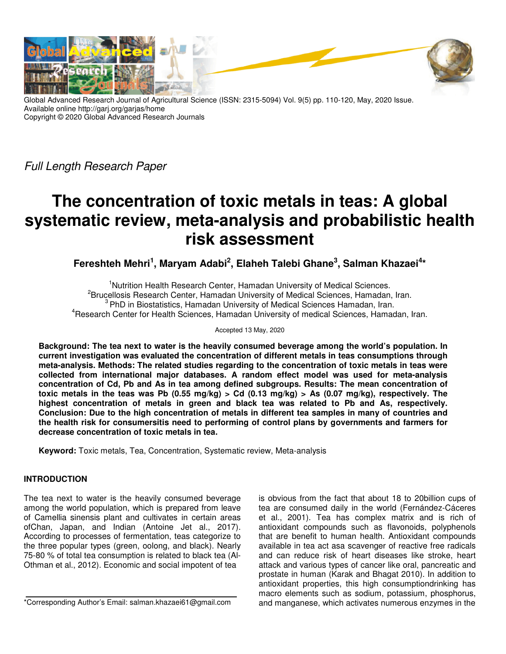

Global Advanced Research Journal of Agricultural Science (ISSN: 2315-5094) Vol. 9(5) pp. 110-120, May, 2020 Issue. Available online http://garj.org/garjas/home Copyright © 2020 Global Advanced Research Journals

Full Length Research Paper

# **The concentration of toxic metals in teas: A global systematic review, meta-analysis and probabilistic health risk assessment**

**Fereshteh Mehri<sup>1</sup> , Maryam Adabi<sup>2</sup> , Elaheh Talebi Ghane<sup>3</sup> , Salman Khazaei<sup>4</sup> \*** 

<sup>1</sup>Nutrition Health Research Center, Hamadan University of Medical Sciences, <sup>2</sup> Brucellosis Research Center, Hamadan University of Medical Sciences, Hamadan, Iran. <sup>3</sup> PhD in Biostatistics, Hamadan University of Medical Sciences Hamadan, Iran. <sup>4</sup>Research Center for Health Sciences, Hamadan University of medical Sciences, Hamadan, Iran.

Accepted 13 May, 2020

**Background: The tea next to water is the heavily consumed beverage among the world's population. In current investigation was evaluated the concentration of different metals in teas consumptions through meta-analysis. Methods: The related studies regarding to the concentration of toxic metals in teas were collected from international major databases. A random effect model was used for meta-analysis concentration of Cd, Pb and As in tea among defined subgroups. Results: The mean concentration of toxic metals in the teas was Pb (0.55 mg/kg) > Cd (0.13 mg/kg) > As (0.07 mg/kg), respectively. The highest concentration of metals in green and black tea was related to Pb and As, respectively. Conclusion: Due to the high concentration of metals in different tea samples in many of countries and the health risk for consumersitis need to performing of control plans by governments and farmers for decrease concentration of toxic metals in tea.** 

**Keyword:** Toxic metals, Tea, Concentration, Systematic review, Meta-analysis

## **INTRODUCTION**

The tea next to water is the heavily consumed beverage among the world population, which is prepared from leave of Camellia sinensis plant and cultivates in certain areas ofChan, Japan, and Indian (Antoine Jet al., 2017). According to processes of fermentation, teas categorize to the three popular types (green, oolong, and black). Nearly 75-80 % of total tea consumption is related to black tea (Al-Othman et al., 2012). Economic and social impotent of tea

\*Corresponding Author's Email: salman.khazaei61@gmail.com

is obvious from the fact that about 18 to 20billion cups of tea are consumed daily in the world (Fernández-Cáceres et al., 2001). Tea has complex matrix and is rich of antioxidant compounds such as flavonoids, polyphenols that are benefit to human health. Antioxidant compounds available in tea act asa scavenger of reactive free radicals and can reduce risk of heart diseases like stroke, heart attack and various types of cancer like oral, pancreatic and prostate in human (Karak and Bhagat 2010). In addition to antioxidant properties, this high consumptiondrinking has macro elements such as sodium, potassium, phosphorus, and manganese, which activates numerous enzymes in the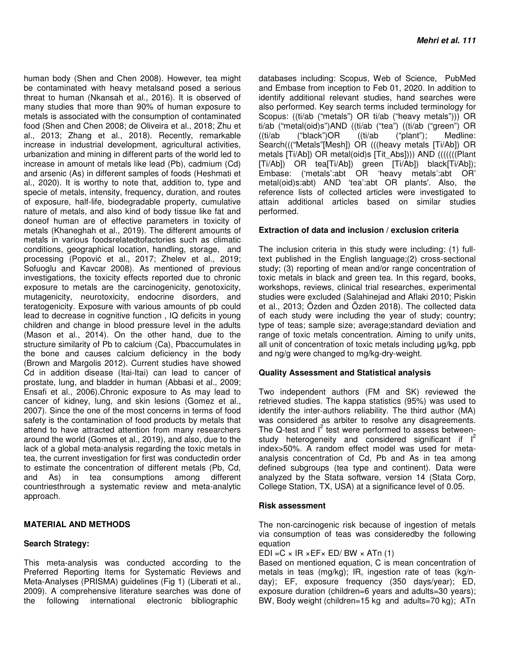human body (Shen and Chen 2008). However, tea might be contaminated with heavy metalsand posed a serious threat to human (Nkansah et al., 2016). It is observed of many studies that more than 90% of human exposure to metals is associated with the consumption of contaminated food (Shen and Chen 2008; de Oliveira et al., 2018; Zhu et al., 2013; Zhang et al., 2018). Recently, remarkable increase in industrial development, agricultural activities, urbanization and mining in different parts of the world led to increase in amount of metals like lead (Pb), cadmium (Cd) and arsenic (As) in different samples of foods (Heshmati et al., 2020). It is worthy to note that, addition to, type and specie of metals, intensity, frequency, duration, and routes of exposure, half-life, biodegradable property, cumulative nature of metals, and also kind of body tissue like fat and doneof human are of effective parameters in toxicity of metals (Khaneghah et al., 2019). The different amounts of metals in various foodsrelatedtofactories such as climatic conditions, geographical location, handling, storage, and processing (Popović et al., 2017; Zhelev et al., 2019; Sofuoglu and Kavcar 2008). As mentioned of previous investigations, the toxicity effects reported due to chronic exposure to metals are the carcinogenicity, genotoxicity, mutagenicity, neurotoxicity, endocrine disorders, and teratogenicity. Exposure with various amounts of pb could lead to decrease in cognitive function , IQ deficits in young children and change in blood pressure level in the adults (Mason et al., 2014). On the other hand, due to the structure similarity of Pb to calcium (Ca), Pbaccumulates in the bone and causes calcium deficiency in the body (Brown and Margolis 2012). Current studies have showed Cd in addition disease (Itai-Itai) can lead to cancer of prostate, lung, and bladder in human (Abbasi et al., 2009; Ensafi et al., 2006).Chronic exposure to As may lead to cancer of kidney, lung, and skin lesions (Gomez et al., 2007). Since the one of the most concerns in terms of food safety is the contamination of food products by metals that attend to have attracted attention from many researchers around the world (Gomes et al., 2019), and also, due to the lack of a global meta-analysis regarding the toxic metals in tea, the current investigation for first was conductedin order to estimate the concentration of different metals (Pb, Cd, and As) in tea consumptions among different countriesthrough a systematic review and meta-analytic approach.

### **MATERIAL AND METHODS**

### **Search Strategy:**

This meta-analysis was conducted according to the Preferred Reporting Items for Systematic Reviews and Meta-Analyses (PRISMA) guidelines (Fig 1) (Liberati et al., 2009). A comprehensive literature searches was done of the following international electronic bibliographic

databases including: Scopus, Web of Science, PubMed and Embase from inception to Feb 01, 2020. In addition to identify additional relevant studies, hand searches were also performed. Key search terms included terminology for Scopus: ((ti/ab ("metals") OR ti/ab ("heavy metals"))) OR ti/ab ("metal(oid)s")AND ((ti/ab ("tea") ((ti/ab ("green") OR ((ti/ab ("black")OR ((ti/ab ("plant"); Medline: Search((("Metals"[Mesh]) OR (((heavy metals [Ti/Ab]) OR metals [Ti/Ab]) OR metal(oid)s [Tit\_Abs]))) AND (((((((Plant [Ti/Ab]) OR tea[Ti/Ab]) green [Ti/Ab]) black[Ti/Ab]); Embase: ('metals':abt OR 'heavy metals':abt OR' metal(oid)s:abt) AND 'tea':abt OR plants'. Also, the reference lists of collected articles were investigated to attain additional articles based on similar studies performed.

### **Extraction of data and inclusion / exclusion criteria**

The inclusion criteria in this study were including: (1) fulltext published in the English language;(2) cross-sectional study; (3) reporting of mean and/or range concentration of toxic metals in black and green tea. In this regard, books, workshops, reviews, clinical trial researches, experimental studies were excluded (Salahinejad and Aflaki 2010; Piskin et al., 2013; Özden and Özden 2018). The collected data of each study were including the year of study; country; type of teas; sample size; average;standard deviation and range of toxic metals concentration. Aiming to unify units, all unit of concentration of toxic metals including µg/kg, ppb and ng/g were changed to mg/kg-dry-weight.

#### **Quality Assessment and Statistical analysis**

Two independent authors (FM and SK) reviewed the retrieved studies. The kappa statistics (95%) was used to identify the inter-authors reliability. The third author (MA) was considered as arbiter to resolve any disagreements. The Q-test and  $I^2$  test were performed to assess betweenstudy heterogeneity and considered significant if  $I^2$ index>50%. A random effect model was used for metaanalysis concentration of Cd, Pb and As in tea among defined subgroups (tea type and continent). Data were analyzed by the Stata software, version 14 (Stata Corp, College Station, TX, USA) at a significance level of 0.05.

#### **Risk assessment**

The non-carcinogenic risk because of ingestion of metals via consumption of teas was consideredby the following equation

EDI =  $C \times IR \times FF \times ED/ BW \times ATM(1)$ 

Based on mentioned equation, C is mean concentration of metals in teas (mg/kg); IR, ingestion rate of teas (kg/nday); EF, exposure frequency (350 days/year); ED, exposure duration (children=6 years and adults=30 years); BW, Body weight (children=15 kg and adults=70 kg); ATn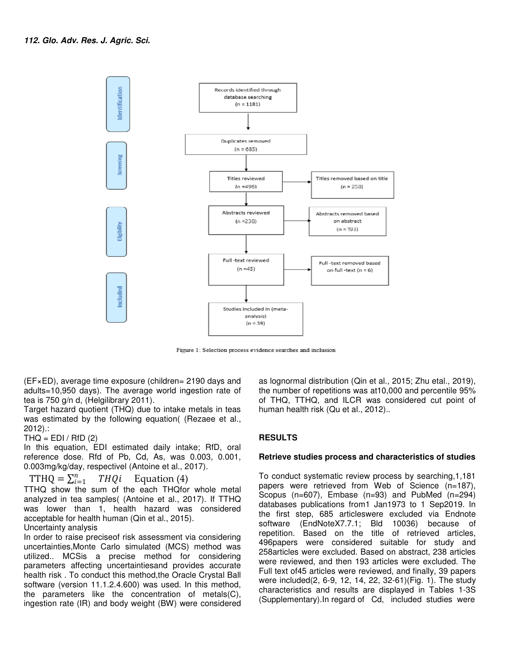

Figure 1: Selection process evidence searches and inclusion

(EF×ED), average time exposure (children= 2190 days and adults=10,950 days). The average world ingestion rate of tea is 750 g/n d, (Helgilibrary 2011).

Target hazard quotient (THQ) due to intake metals in teas was estimated by the following equation( (Rezaee et al., 2012).: (EF×ED), average time exposure (children= 2190 days a<br>adults=10,950 days). The average world ingestion rate<br>tea is 750 g/n d, (Helgilibrary 2011).<br>Target hazard quotient (THQ) due to intake metals in t<br>was estimated by the

#### $THQ = EDI / RfD (2)$

In this equation, EDI estimated daily intake; RfD, oral reference dose. Rfd of Pb, Cd, As, was 0.003, 0.001, 0.003mg/kg/day, respectivel (Antoine et al., 2017)

TTHQ =  $\sum_{i=1}^{n} TH$  $THQi$  Equation  $(4)$ 

TTHQ show the sum of the each THQfor whole metal analyzed in tea samples( (Antoine et al., 2017) 2017). If TTHQ was lower than 1, health hazard was considered acceptable for health human (Qin et al., 2015). lower than 1, health hazard was considered<br>table for health human (Qin et al., 2015).<br>tainty analysis<br>er to raise preciseof risk assessment via considering<br>ainties,Monte Carlo simulated (MCS) method was

### Uncertainty analysis

In order to raise preciseof risk assessment via considering uncertainties,Monte Carlo simulated (MCS) method utilized.. MCSis a precise method for considering parameters affecting uncertaintiesand provides accurate health risk . To conduct this method,the Oracle Crystal Ball software (version 11.1.2.4.600) was used. In this method, the parameters like the concentration of metals(C), ingestion rate (IR) and body weight (BW) were precise method for considering<br>mcertaintiesand provides accurate<br>this method, the Oracle Crystal Ball<br>0.4.600) was used. In this method,<br>the concentration of metals(C),<br>pody weight (BW) were considered

as lognormal distribution (Qin et al., 2015; Zhu etal., 2019), the number of repetitions was at10,000 and percentile 95% of THQ, TTHQ, and ILCR was considered cut point of human health risk (Qu et al., 2012).. Supervisory of the number of repetitions was at 10,000 and percentile 95%<br>
of THQ, TTHQ, and ILCR was considered cut point of<br>
the the numan health risk (Qu et al., 2012)..<br>
(Rezaee et al.,<br> **RESULTS**<br>
ake; RfD, oral<br>
0.00

### **RESULTS**

#### **Retrieve studies process and characteristics of studies and of studies**

To conduct systematic review process by searching, 1, 181 papers were retrieved from Web of Science (n=187), Scopus (n=607), Embase (n=93) and PubMed (n=294) databases publications from1 Jan1973 to 1 Sep2019. In the first step, 685 articleswere excluded via Endnote the first step, 685 articleswere excluded via Endnote<br>software (EndNoteX7.7.1; Bld 10036) because of repetition. Based on the title of retrieved articles, 496papers were considered suitable for study and 258articles were excluded. Based on abstract, 238 articles were reviewed, and then 193 articles were excluded. The Full text of 45 articles were reviewed, and finally, 39 papers were included(2, 6-9, 12, 14, 22 , 32-61)(Fig. 1). The study characteristics and results are displayed in Tables 1-3S (Supplementary). In regard of Cd, included studies were eved from Web of Science (n=187),<br>Embase (n=93) and PubMed (n=294)<br>tions from1 Jan1973 to 1 Sep2019. In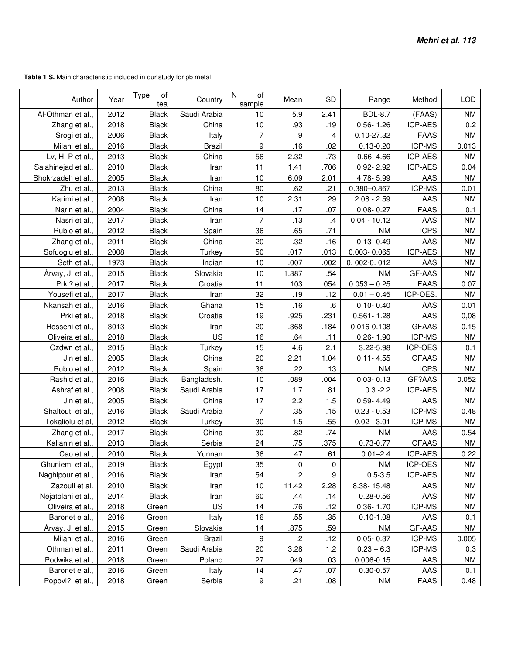**Table 1 S.** Main characteristic included in our study for pb metal

| Author             | Year | Type<br>of<br>tea | Country       | $\mathsf{N}$<br>of<br>sample | Mean           | <b>SD</b>  | Range           | Method         | <b>LOD</b> |
|--------------------|------|-------------------|---------------|------------------------------|----------------|------------|-----------------|----------------|------------|
| Al-Othman et al.   | 2012 | <b>Black</b>      | Saudi Arabia  | 10                           | 5.9            | 2.41       | <b>BDL-8.7</b>  | (FAAS)         | <b>NM</b>  |
| Zhang et al.,      | 2018 | <b>Black</b>      | China         | 10                           | .93            | .19        | $0.56 - 1.26$   | <b>ICP-AES</b> | 0.2        |
| Srogi et al.,      | 2006 | <b>Black</b>      | Italy         | 7                            | 9              | 4          | 0.10-27.32      | <b>FAAS</b>    | <b>NM</b>  |
| Milani et al.,     | 2016 | <b>Black</b>      | <b>Brazil</b> | 9                            | .16            | .02        | $0.13 - 0.20$   | ICP-MS         | 0.013      |
| Lv, H. P et al.,   | 2013 | <b>Black</b>      | China         | 56                           | 2.32           | .73        | $0.66 - 4.66$   | <b>ICP-AES</b> | <b>NM</b>  |
| Salahinejad et al. | 2010 | <b>Black</b>      | Iran          | 11                           | 1.41           | .706       | $0.92 - 2.92$   | ICP-AES        | 0.04       |
| Shokrzadeh et al.  | 2005 | <b>Black</b>      | Iran          | 10                           | 6.09           | 2.01       | 4.78-5.99       | AAS            | <b>NM</b>  |
| Zhu et al.         | 2013 | <b>Black</b>      | China         | 80                           | .62            | .21        | 0.380-0.867     | ICP-MS         | 0.01       |
| Karimi et al.      | 2008 | <b>Black</b>      | Iran          | 10                           | 2.31           | .29        | $2.08 - 2.59$   | AAS            | <b>NM</b>  |
| Narin et al.,      | 2004 | <b>Black</b>      | China         | 14                           | .17            | .07        | $0.08 - 0.27$   | <b>FAAS</b>    | 0.1        |
| Nasri et al.       | 2017 | <b>Black</b>      | Iran          | $\overline{7}$               | .13            | $\cdot$    | $0.04 - 10.12$  | AAS            | <b>NM</b>  |
| Rubio et al.,      | 2012 | <b>Black</b>      | Spain         | 36                           | .65            | .71        | <b>NM</b>       | <b>ICPS</b>    | <b>NM</b>  |
| Zhang et al.,      | 2011 | <b>Black</b>      | China         | 20                           | .32            | .16        | $0.13 - 0.49$   | AAS            | <b>NM</b>  |
| Sofuoglu et al.,   | 2008 | <b>Black</b>      | Turkey        | 50                           | .017           | .013       | $0.003 - 0.065$ | ICP-AES        | <b>NM</b>  |
| Seth et al.        | 1973 | <b>Black</b>      | Indian        | 10                           | .007           | .002       | 0.002-0.012     | AAS            | <b>NM</b>  |
| Árvay, J. et al.,  | 2015 | <b>Black</b>      | Slovakia      | 10                           | 1.387          | .54        | <b>NM</b>       | GF-AAS         | <b>NM</b>  |
| Prki? et al.       | 2017 | <b>Black</b>      | Croatia       | 11                           | .103           | .054       | $0.053 - 0.25$  | <b>FAAS</b>    | 0.07       |
| Yousefi et al.,    | 2017 | <b>Black</b>      | Iran          | 32                           | .19            | .12        | $0.01 - 0.45$   | ICP-OES.       | <b>NM</b>  |
| Nkansah et al.     | 2016 | <b>Black</b>      | Ghana         | 15                           | .16            | ${\bf .6}$ | $0.10 - 0.40$   | AAS            | 0.01       |
| Prki et al.,       | 2018 | <b>Black</b>      | Croatia       | 19                           | .925           | .231       | $0.561 - 1.28$  | AAS            | 0,08       |
| Hosseni et al.     | 3013 | <b>Black</b>      | Iran          | 20                           | .368           | .184       | 0.016-0.108     | <b>GFAAS</b>   | 0.15       |
| Oliveira et al.    | 2018 | <b>Black</b>      | US            | 16                           | .64            | .11        | $0.26 - 1.90$   | ICP-MS         | <b>NM</b>  |
| Ozdwn et al.,      | 2015 | <b>Black</b>      | Turkey        | 15                           | 4.6            | 2.1        | 3.22-5.98       | ICP-OES        | 0.1        |
| Jin et al.         | 2005 | <b>Black</b>      | China         | 20                           | 2.21           | 1.04       | $0.11 - 4.55$   | <b>GFAAS</b>   | <b>NM</b>  |
| Rubio et al.,      | 2012 | <b>Black</b>      | Spain         | 36                           | .22            | .13        | <b>NM</b>       | <b>ICPS</b>    | <b>NM</b>  |
| Rashid et al.      | 2016 | <b>Black</b>      | Bangladesh.   | 10                           | .089           | .004       | $0.03 - 0.13$   | GF?AAS         | 0.052      |
| Ashraf et al.,     | 2008 | <b>Black</b>      | Saudi Arabia  | 17                           | 1.7            | .81        | $0.3 - 2.2$     | <b>ICP-AES</b> | <b>NM</b>  |
| Jin et al.         | 2005 | <b>Black</b>      | China         | 17                           | 2.2            | 1.5        | $0.59 - 4.49$   | AAS            | <b>NM</b>  |
| Shaltout et al.,   | 2016 | <b>Black</b>      | Saudi Arabia  | $\overline{7}$               | .35            | .15        | $0.23 - 0.53$   | ICP-MS         | 0.48       |
| Tokaliolu et al,   | 2012 | <b>Black</b>      | Turkey        | 30                           | 1.5            | .55        | $0.02 - 3.01$   | ICP-MS         | <b>NM</b>  |
| Zhang et al.,      | 2017 | <b>Black</b>      | China         | 30                           | .82            | .74        | <b>NM</b>       | AAS            | 0.54       |
| Kalianin et al.    | 2013 | <b>Black</b>      | Serbia        | 24                           | .75            | .375       | $0.73 - 0.77$   | <b>GFAAS</b>   | <b>NM</b>  |
| Cao et al.         | 2010 | <b>Black</b>      | Yunnan        | 36                           | .47            | .61        | $0.01 - 2.4$    | ICP-AES        | 0.22       |
| Ghuniem et al.,    | 2019 | <b>Black</b>      | Egypt         | 35                           | 0              | 0          | ΝM              | ICP-OES        | ΝM         |
| Naghipour et al.,  | 2016 | <b>Black</b>      | Iran          | 54                           | $\overline{c}$ | .9         | $0.5 - 3.5$     | <b>ICP-AES</b> | <b>NM</b>  |
| Zazouli et al.     | 2010 | <b>Black</b>      | Iran          | 10                           | 11.42          | 2.28       | 8.38-15.48      | AAS            | <b>NM</b>  |
| Nejatolahi et al., | 2014 | <b>Black</b>      | Iran          | 60                           | .44            | .14        | $0.28 - 0.56$   | AAS            | <b>NM</b>  |
| Oliveira et al.,   | 2018 | Green             | US.           | 14                           | .76            | .12        | $0.36 - 1.70$   | ICP-MS         | ΝM         |
| Baronet e al.,     | 2016 | Green             | Italy         | 16                           | .55            | .35        | $0.10 - 1.08$   | AAS            | 0.1        |
| Arvay, J. et al.,  | 2015 | Green             | Slovakia      | 14                           | .875           | .59        | NM              | GF-AAS         | <b>NM</b>  |
| Milani et al.,     | 2016 | Green             | <b>Brazil</b> | 9                            | $\cdot$        | .12        | $0.05 - 0.37$   | ICP-MS         | 0.005      |
| Othman et al.,     | 2011 | Green             | Saudi Arabia  | 20                           | 3.28           | 1.2        | $0.23 - 6.3$    | ICP-MS         | 0.3        |
| Podwika et al.,    | 2018 | Green             | Poland        | 27                           | .049           | .03        | $0.006 - 0.15$  | AAS            | <b>NM</b>  |
| Baronet e al.,     | 2016 | Green             | Italy         | 14                           | .47            | .07        | $0.30 - 0.57$   | AAS            | 0.1        |
| Popovi? et al.,    | 2018 | Green             | Serbia        | $\boldsymbol{9}$             | .21            | .08        | ΝM              | <b>FAAS</b>    | 0.48       |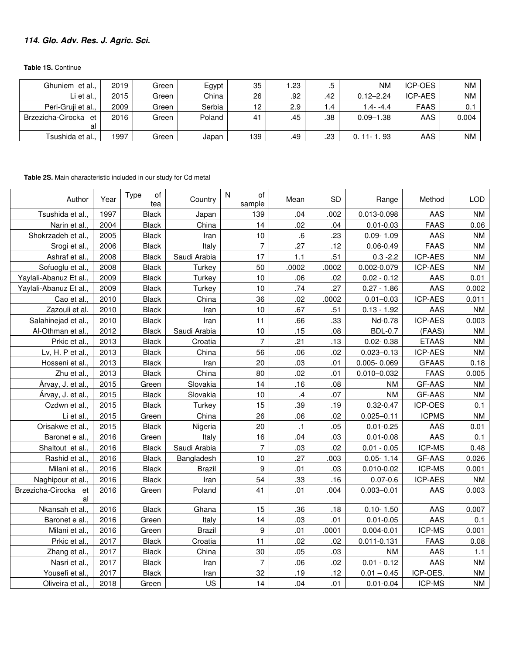## **114. Glo. Adv. Res. J. Agric. Sci.**

**Table 1S.** Continue

| Ghuniem et al.,      | 2019 | Green | Egypt  | 35             | .23 | ه.   | <b>NM</b>       | <b>ICP-OES</b> | <b>NM</b> |
|----------------------|------|-------|--------|----------------|-----|------|-----------------|----------------|-----------|
| Li et al.,           | 2015 | Green | China  | 26             | .92 | .42  | $0.12 - 2.24$   | ICP-AES        | <b>NM</b> |
| Peri-Gruji et al.,   | 2009 | Green | Serbia | 12             | 2.9 | 4. ا | 1.4- -4.4       | FAAS           | 0.1       |
| Brzezicha-Cirocka et | 2016 | Green | Poland | 4 <sup>1</sup> | .45 | .38  | $0.09 - 1.38$   | <b>AAS</b>     | 0.004     |
| al                   |      |       |        |                |     |      |                 |                |           |
| Tsushida et al.,     | 1997 | Green | Japan  | 139            | .49 | .23  | . 93<br>l 1 - 1 | AAS            | ΝM        |

**Table 2S.** Main characteristic included in our study for Cd metal

| Author                     | Year | <b>Type</b><br>οf<br>tea | Country       | $\mathsf{N}$<br>of<br>sample | Mean          | <b>SD</b> | Range           | Method         | <b>LOD</b> |
|----------------------------|------|--------------------------|---------------|------------------------------|---------------|-----------|-----------------|----------------|------------|
| Tsushida et al.            | 1997 | <b>Black</b>             | Japan         | 139                          | .04           | .002      | 0.013-0.098     | AAS            | <b>NM</b>  |
| Narin et al.               | 2004 | <b>Black</b>             | China         | 14                           | .02           | .04       | $0.01 - 0.03$   | <b>FAAS</b>    | 0.06       |
| Shokrzadeh et al.          | 2005 | <b>Black</b>             | Iran          | 10                           | .6            | .23       | $0.09 - 1.09$   | AAS            | <b>NM</b>  |
| Srogi et al.               | 2006 | <b>Black</b>             | Italy         | $\overline{7}$               | .27           | .12       | $0.06 - 0.49$   | <b>FAAS</b>    | <b>NM</b>  |
| Ashraf et al.              | 2008 | <b>Black</b>             | Saudi Arabia  | 17                           | 1.1           | .51       | $0.3 - 2.2$     | <b>ICP-AES</b> | <b>NM</b>  |
| Sofuoglu et al.            | 2008 | <b>Black</b>             | Turkey        | 50                           | .0002         | .0002     | 0.002-0.079     | ICP-AES        | <b>NM</b>  |
| Yaylali-Abanuz Et al.      | 2009 | <b>Black</b>             | Turkey        | 10                           | .06           | .02       | $0.02 - 0.12$   | AAS            | 0.01       |
| Yaylali-Abanuz Et al.      | 2009 | <b>Black</b>             | Turkey        | 10                           | .74           | .27       | $0.27 - 1.86$   | AAS            | 0.002      |
| Cao et al.                 | 2010 | <b>Black</b>             | China         | 36                           | .02           | .0002     | $0.01 - 0.03$   | ICP-AES        | 0.011      |
| Zazouli et al.             | 2010 | <b>Black</b>             | Iran          | 10                           | .67           | .51       | $0.13 - 1.92$   | AAS            | <b>NM</b>  |
| Salahinejad et al.         | 2010 | <b>Black</b>             | Iran          | 11                           | .66           | .33       | Nd-0.78         | ICP-AES        | 0.003      |
| Al-Othman et al.           | 2012 | <b>Black</b>             | Saudi Arabia  | 10                           | .15           | .08       | <b>BDL-0.7</b>  | (FAAS)         | <b>NM</b>  |
| Prkic et al.               | 2013 | <b>Black</b>             | Croatia       | $\overline{7}$               | .21           | .13       | $0.02 - 0.38$   | <b>ETAAS</b>   | <b>NM</b>  |
| Lv, H. P et al.            | 2013 | <b>Black</b>             | China         | 56                           | .06           | .02       | $0.023 - 0.13$  | <b>ICP-AES</b> | <b>NM</b>  |
| Hosseni et al.             | 2013 | <b>Black</b>             | Iran          | 20                           | .03           | .01       | $0.005 - 0.069$ | <b>GFAAS</b>   | 0.18       |
| Zhu et al.                 | 2013 | <b>Black</b>             | China         | 80                           | .02           | .01       | $0.010 - 0.032$ | <b>FAAS</b>    | 0.005      |
| Árvay, J. et al.           | 2015 | Green                    | Slovakia      | 14                           | .16           | .08       | <b>NM</b>       | GF-AAS         | <b>NM</b>  |
| Árvay, J. et al.           | 2015 | <b>Black</b>             | Slovakia      | 10                           | $\mathcal{A}$ | .07       | <b>NM</b>       | GF-AAS         | <b>NM</b>  |
| Ozdwn et al.               | 2015 | <b>Black</b>             | Turkey        | 15                           | .39           | .19       | $0.32 - 0.47$   | ICP-OES        | 0.1        |
| Li et al.                  | 2015 | Green                    | China         | 26                           | .06           | .02       | $0.025 - 0.11$  | <b>ICPMS</b>   | <b>NM</b>  |
| Orisakwe et al.            | 2015 | <b>Black</b>             | Nigeria       | 20                           | $\cdot$ 1     | .05       | $0.01 - 0.25$   | AAS            | 0.01       |
| Baronet e al.              | 2016 | Green                    | Italy         | 16                           | .04           | .03       | $0.01 - 0.08$   | AAS            | 0.1        |
| Shaltout et al.            | 2016 | <b>Black</b>             | Saudi Arabia  | $\overline{7}$               | .03           | .02       | $0.01 - 0.05$   | <b>ICP-MS</b>  | 0.48       |
| Rashid et al.              | 2016 | <b>Black</b>             | Bangladesh    | 10                           | .27           | .003      | $0.05 - 1.14$   | GF-AAS         | 0.026      |
| Milani et al.              | 2016 | <b>Black</b>             | <b>Brazil</b> | 9                            | .01           | .03       | $0.010 - 0.02$  | <b>ICP-MS</b>  | 0.001      |
| Naghipour et al.           | 2016 | Black                    | Iran          | 54                           | .33           | .16       | $0.07 - 0.6$    | <b>ICP-AES</b> | ΝM         |
| Brzezicha-Cirocka et<br>al | 2016 | Green                    | Poland        | 41                           | .01           | .004      | $0.003 - 0.01$  | AAS            | 0.003      |
| Nkansah et al.             | 2016 | <b>Black</b>             | Ghana         | 15                           | .36           | .18       | $0.10 - 1.50$   | AAS            | 0.007      |
| Baronet e al.              | 2016 | Green                    | Italy         | 14                           | .03           | .01       | $0.01 - 0.05$   | AAS            | 0.1        |
| Milani et al.              | 2016 | Green                    | <b>Brazil</b> | 9                            | .01           | .0001     | $0.004 - 0.01$  | ICP-MS         | 0.001      |
| Prkic et al.               | 2017 | <b>Black</b>             | Croatia       | 11                           | .02           | .02       | 0.011-0.131     | <b>FAAS</b>    | 0.08       |
| Zhang et al.               | 2017 | <b>Black</b>             | China         | 30                           | .05           | .03       | <b>NM</b>       | AAS            | 1.1        |
| Nasri et al.               | 2017 | <b>Black</b>             | Iran          | $\overline{7}$               | .06           | .02       | $0.01 - 0.12$   | AAS            | <b>NM</b>  |
| Yousefi et al.             | 2017 | <b>Black</b>             | Iran          | 32                           | .19           | .12       | $0.01 - 0.45$   | ICP-OES.       | <b>NM</b>  |
| Oliveira et al.            | 2018 | Green                    | US            | 14                           | .04           | .01       | $0.01 - 0.04$   | ICP-MS         | <b>NM</b>  |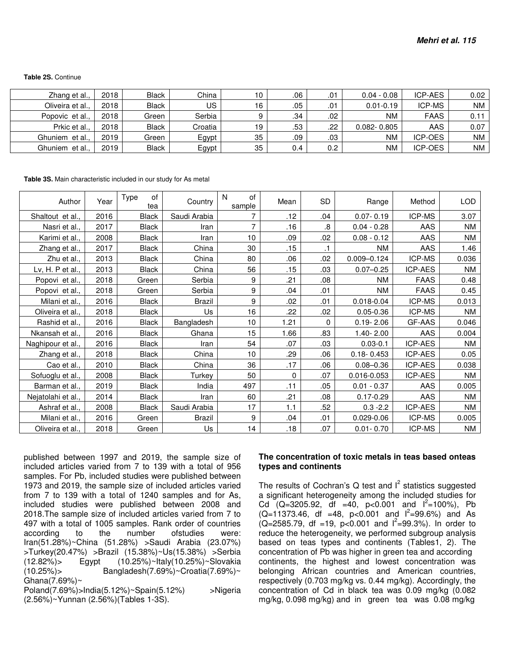| Zhang et al.,    | 2018 | <b>Black</b> | China   | 10 | .06 | 01. | $0.04 - 0.08$   | <b>ICP-AES</b> | 0.02      |
|------------------|------|--------------|---------|----|-----|-----|-----------------|----------------|-----------|
| Oliveira et al., | 2018 | <b>Black</b> | US      | 16 | .05 | .01 | $0.01 - 0.19$   | <b>ICP-MS</b>  | <b>NM</b> |
| Popovic et al.,  | 2018 | Green        | Serbia  |    | .34 | .02 | <b>NM</b>       | <b>FAAS</b>    | 0.11      |
| Prkic et al.,    | 2018 | <b>Black</b> | Croatia | 19 | .53 | .22 | $0.082 - 0.805$ | AAS            | 0.07      |
| Ghuniem et al.,  | 2019 | Green        | Egypt   | 35 | .09 | .03 | <b>NM</b>       | <b>ICP-OES</b> | <b>NM</b> |
| Ghuniem et al.,  | 2019 | <b>Black</b> | Egypt   | 35 | 0.4 | 0.2 | <b>NM</b>       | ICP-OES        | <b>NM</b> |

**Table 3S.** Main characteristic included in our study for As metal

| Author             | Year | of<br>Type<br>tea | Country       | N<br>of<br>sample | Mean | <b>SD</b> | Range           | Method         | <b>LOD</b> |
|--------------------|------|-------------------|---------------|-------------------|------|-----------|-----------------|----------------|------------|
| Shaltout et al.,   | 2016 | <b>Black</b>      | Saudi Arabia  | 7                 | .12  | .04       | $0.07 - 0.19$   | <b>ICP-MS</b>  | 3.07       |
| Nasri et al.,      | 2017 | <b>Black</b>      | Iran          | 7                 | .16  | 8.        | $0.04 - 0.28$   | AAS            | <b>NM</b>  |
| Karimi et al.,     | 2008 | <b>Black</b>      | Iran          | 10 <sup>10</sup>  | .09  | .02       | $0.08 - 0.12$   | <b>AAS</b>     | NM         |
| Zhang et al.,      | 2017 | <b>Black</b>      | China         | 30                | .15  | $\cdot$ 1 | <b>NM</b>       | AAS            | 1.46       |
| Zhu et al.,        | 2013 | <b>Black</b>      | China         | 80                | .06  | .02       | $0.009 - 0.124$ | <b>ICP-MS</b>  | 0.036      |
| Lv, H. P et al.,   | 2013 | Black             | China         | 56                | .15  | .03       | $0.07 - 0.25$   | ICP-AES        | NM         |
| Popovi et al.,     | 2018 | Green             | Serbia        | 9                 | .21  | .08       | <b>NM</b>       | <b>FAAS</b>    | 0.48       |
| Popovi et al.,     | 2018 | Green             | Serbia        | 9                 | .04  | .01       | <b>NM</b>       | <b>FAAS</b>    | 0.45       |
| Milani et al.,     | 2016 | <b>Black</b>      | <b>Brazil</b> | 9                 | .02  | .01       | $0.018 - 0.04$  | <b>ICP-MS</b>  | 0.013      |
| Oliveira et al.,   | 2018 | Black             | Us            | 16                | .22  | .02       | $0.05 - 0.36$   | <b>ICP-MS</b>  | NM         |
| Rashid et al.,     | 2016 | Black             | Bangladesh    | 10                | 1.21 | 0         | $0.19 - 2.06$   | GF-AAS         | 0.046      |
| Nkansah et al.,    | 2016 | Black             | Ghana         | 15                | 1.66 | .83       | $1.40 - 2.00$   | AAS            | 0.004      |
| Naghipour et al.,  | 2016 | Black             | Iran          | 54                | .07  | .03       | $0.03 - 0.1$    | ICP-AES        | NM         |
| Zhang et al.,      | 2018 | Black             | China         | 10                | .29  | .06       | $0.18 - 0.453$  | ICP-AES        | 0.05       |
| Cao et al.,        | 2010 | Black             | China         | 36                | .17  | .06       | $0.08 - 0.36$   | ICP-AES        | 0.038      |
| Sofuoglu et al.,   | 2008 | Black             | Turkey        | 50                | 0    | .07       | 0.016-0.053     | <b>ICP-AES</b> | <b>NM</b>  |
| Barman et al.,     | 2019 | <b>Black</b>      | India         | 497               | .11  | .05       | $0.01 - 0.37$   | AAS            | 0.005      |
| Nejatolahi et al., | 2014 | Black             | Iran          | 60                | .21  | .08       | $0.17 - 0.29$   | <b>AAS</b>     | <b>NM</b>  |
| Ashraf et al.,     | 2008 | Black             | Saudi Arabia  | 17                | 1.1  | .52       | $0.3 - 2.2$     | ICP-AES        | NM         |
| Milani et al.,     | 2016 | Green             | Brazil        | 9                 | .04  | .01       | 0.029-0.06      | ICP-MS         | 0.005      |
| Oliveira et al.,   | 2018 | Green             | Us            | 14                | .18  | .07       | $0.01 - 0.70$   | ICP-MS         | NM         |

published between 1997 and 2019, the sample size of included articles varied from 7 to 139 with a total of 956 samples. For Pb, included studies were published between 1973 and 2019, the sample size of included articles varied from 7 to 139 with a total of 1240 samples and for As, included studies were published between 2008 and 2018.The sample size of included articles varied from 7 to 497 with a total of 1005 samples. Rank order of countries according to the number ofstudies were: Iran(51.28%)~China (51.28%) >Saudi Arabia (23.07%) >Turkey(20.47%) >Brazil (15.38%)~Us(15.38%) >Serbia (12.82%)> Egypt (10.25%)~Italy(10.25%)~Slovakia (10.25%)> Bangladesh(7.69%)~Croatia(7.69%)~ Ghana $(7.69\%)$ ~

Poland(7.69%)>India(5.12%)~Spain(5.12%) >Nigeria (2.56%)~Yunnan (2.56%)(Tables 1-3S).

#### **The concentration of toxic metals in teas based onteas types and continents**

The results of Cochran's Q test and  $I^2$  statistics suggested a significant heterogeneity among the included studies for Cd  $(Q=3205.92, df = 40, p<0.001$  and  $I^2=100\%$ ), Pb  $(Q=11373.46, df = 48, p < 0.001$  and  $I^2 = 99.6%$  and As  $(Q=2585.79, df = 19, p < 0.001$  and  $I^2=99.3%$ ). In order to reduce the heterogeneity, we performed subgroup analysis based on teas types and continents (Tables1, 2). The concentration of Pb was higher in green tea and according continents, the highest and lowest concentration was belonging African countries and American countries, respectively (0.703 mg/kg vs. 0.44 mg/kg). Accordingly, the concentration of Cd in black tea was 0.09 mg/kg (0.082 mg/kg, 0.098 mg/kg) and in green tea was 0.08 mg/kg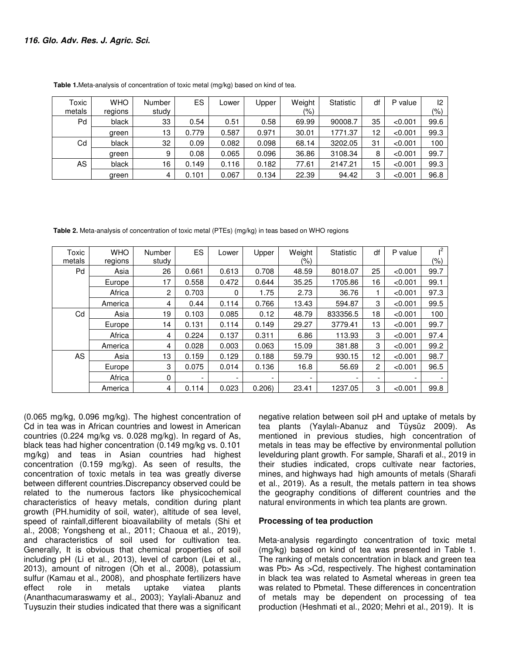| Toxic  | <b>WHO</b> | Number | <b>ES</b> | _ower | <b>Jpper</b> | Weight | Statistic | df | P value | 12   |
|--------|------------|--------|-----------|-------|--------------|--------|-----------|----|---------|------|
| metals | regions    | study  |           |       |              | (%)    |           |    |         | (%)  |
| Pd     | black      | 33     | 0.54      | 0.51  | 0.58         | 69.99  | 90008.7   | 35 | < 0.001 | 99.6 |
|        | green      | 13     | 0.779     | 0.587 | 0.971        | 30.01  | 1771.37   | 12 | < 0.001 | 99.3 |
| Cd     | black      | 32     | 0.09      | 0.082 | 0.098        | 68.14  | 3202.05   | 31 | < 0.001 | 100  |
|        | green      | 9      | 0.08      | 0.065 | 0.096        | 36.86  | 3108.34   | 8  | < 0.001 | 99.7 |
| AS     | black      | 16     | 0.149     | 0.116 | 0.182        | 77.61  | 2147.21   | 15 | < 0.001 | 99.3 |
|        | green      | 4      | 0.101     | 0.067 | 0.134        | 22.39  | 94.42     | 3  | < 0.001 | 96.8 |

**Table 1.**Meta-analysis of concentration of toxic metal (mg/kg) based on kind of tea.

 **Table 2.** Meta-analysis of concentration of toxic metal (PTEs) (mg/kg) in teas based on WHO regions

| Toxic  | <b>WHO</b> | Number | <b>ES</b>                | Lower                    | Upper | Weight                   | <b>Statistic</b> | df | P value                  | $^{2}$ |
|--------|------------|--------|--------------------------|--------------------------|-------|--------------------------|------------------|----|--------------------------|--------|
| metals | regions    | study  |                          |                          |       | (%)                      |                  |    |                          | (%)    |
| Pd     | Asia       | 26     | 0.661                    | 0.613                    | 0.708 | 48.59                    | 8018.07          | 25 | < 0.001                  | 99.7   |
|        | Europe     | 17     | 0.558                    | 0.472                    | 0.644 | 35.25                    | 1705.86          | 16 | < 0.001                  | 99.1   |
|        | Africa     | 2      | 0.703                    | 0                        | 1.75  | 2.73                     | 36.76            |    | < 0.001                  | 97.3   |
|        | America    | 4      | 0.44                     | 0.114                    | 0.766 | 13.43                    | 594.87           | 3  | < 0.001                  | 99.5   |
| Cd     | Asia       | 19     | 0.103                    | 0.085                    | 0.12  | 48.79                    | 833356.5         | 18 | < 0.001                  | 100    |
|        | Europe     | 14     | 0.131                    | 0.114                    | 0.149 | 29.27                    | 3779.41          | 13 | < 0.001                  | 99.7   |
|        | Africa     | 4      | 0.224                    | 0.137                    | 0.311 | 6.86                     | 113.93           | 3  | < 0.001                  | 97.4   |
|        | America    | 4      | 0.028                    | 0.003                    | 0.063 | 15.09                    | 381.88           | 3  | < 0.001                  | 99.2   |
| AS.    | Asia       | 13     | 0.159                    | 0.129                    | 0.188 | 59.79                    | 930.15           | 12 | < 0.001                  | 98.7   |
|        | Europe     | 3      | 0.075                    | 0.014                    | 0.136 | 16.8                     | 56.69            | 2  | < 0.001                  | 96.5   |
|        | Africa     | 0      | $\overline{\phantom{a}}$ | $\overline{\phantom{a}}$ |       | $\overline{\phantom{a}}$ |                  | -  | $\overline{\phantom{a}}$ |        |
|        | America    | 4      | 0.114                    | 0.023                    | 0.206 | 23.41                    | 1237.05          | 3  | < 0.001                  | 99.8   |

(0.065 mg/kg, 0.096 mg/kg). The highest concentration of Cd in tea was in African countries and lowest in American countries (0.224 mg/kg vs. 0.028 mg/kg). In regard of As, black teas had higher concentration (0.149 mg/kg vs. 0.101 mg/kg) and teas in Asian countries had highest concentration (0.159 mg/kg). As seen of results, the concentration of toxic metals in tea was greatly diverse between different countries.Discrepancy observed could be related to the numerous factors like physicochemical characteristics of heavy metals, condition during plant growth (PH.humidity of soil, water), altitude of sea level, speed of rainfall,different bioavailability of metals (Shi et al., 2008; Yongsheng et al., 2011; Chaoua et al., 2019), and characteristics of soil used for cultivation tea. Generally, It is obvious that chemical properties of soil including pH (Li et al., 2013), level of carbon (Lei et al., 2013), amount of nitrogen (Oh et al., 2008), potassium sulfur (Kamau et al., 2008), and phosphate fertilizers have effect role in metals uptake viatea plants (Ananthacumaraswamy et al., 2003); Yaylali-Abanuz and Tuysuzin their studies indicated that there was a significant

negative relation between soil pH and uptake of metals by tea plants (Yaylalı-Abanuz and Tüysüz 2009). As mentioned in previous studies, high concentration of metals in teas may be effective by environmental pollution levelduring plant growth. For sample, Sharafi et al., 2019 in their studies indicated, crops cultivate near factories, mines, and highways had high amounts of metals (Sharafi et al., 2019). As a result, the metals pattern in tea shows the geography conditions of different countries and the natural environments in which tea plants are grown.

### **Processing of tea production**

Meta-analysis regardingto concentration of toxic metal (mg/kg) based on kind of tea was presented in Table 1. The ranking of metals concentration in black and green tea was Pb > As > Cd, respectively. The highest contamination in black tea was related to Asmetal whereas in green tea was related to Pbmetal. These differences in concentration of metals may be dependent on processing of tea production (Heshmati et al., 2020; Mehri et al., 2019). It is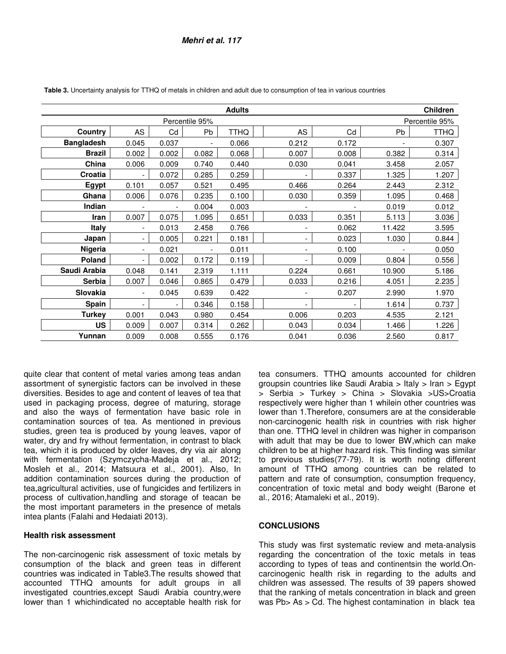|                   |                          |                          |                          | <b>Adults</b> |       |       |        | Children       |
|-------------------|--------------------------|--------------------------|--------------------------|---------------|-------|-------|--------|----------------|
|                   |                          |                          | Percentile 95%           |               |       |       |        | Percentile 95% |
| Country           | AS                       | Cd                       | Pb                       | <b>TTHQ</b>   | AS    | Cd    | Pb     | <b>TTHQ</b>    |
| <b>Bangladesh</b> | 0.045                    | 0.037                    | $\overline{\phantom{0}}$ | 0.066         | 0.212 | 0.172 |        | 0.307          |
| <b>Brazil</b>     | 0.002                    | 0.002                    | 0.082                    | 0.068         | 0.007 | 0.008 | 0.382  | 0.314          |
| China             | 0.006                    | 0.009                    | 0.740                    | 0.440         | 0.030 | 0.041 | 3.458  | 2.057          |
| Croatia           |                          | 0.072                    | 0.285                    | 0.259         |       | 0.337 | 1.325  | 1.207          |
| Egypt             | 0.101                    | 0.057                    | 0.521                    | 0.495         | 0.466 | 0.264 | 2.443  | 2.312          |
| Ghana             | 0.006                    | 0.076                    | 0.235                    | 0.100         | 0.030 | 0.359 | 1.095  | 0.468          |
| Indian            |                          |                          | 0.004                    | 0.003         |       |       | 0.019  | 0.012          |
| Iran              | 0.007                    | 0.075                    | 1.095                    | 0.651         | 0.033 | 0.351 | 5.113  | 3.036          |
| <b>Italy</b>      | $\overline{\phantom{a}}$ | 0.013                    | 2.458                    | 0.766         |       | 0.062 | 11.422 | 3.595          |
| Japan             | $\overline{\phantom{a}}$ | 0.005                    | 0.221                    | 0.181         |       | 0.023 | 1.030  | 0.844          |
| Nigeria           | $\overline{\phantom{a}}$ | 0.021                    | $\overline{\phantom{a}}$ | 0.011         |       | 0.100 |        | 0.050          |
| Poland            | $\overline{\phantom{a}}$ | 0.002                    | 0.172                    | 0.119         |       | 0.009 | 0.804  | 0.556          |
| Saudi Arabia      | 0.048                    | 0.141                    | 2.319                    | 1.111         | 0.224 | 0.661 | 10.900 | 5.186          |
| <b>Serbia</b>     | 0.007                    | 0.046                    | 0.865                    | 0.479         | 0.033 | 0.216 | 4.051  | 2.235          |
| <b>Slovakia</b>   | $\overline{\phantom{a}}$ | 0.045                    | 0.639                    | 0.422         |       | 0.207 | 2.990  | 1.970          |
| Spain             | $\overline{\phantom{a}}$ | $\overline{\phantom{a}}$ | 0.346                    | 0.158         |       |       | 1.614  | 0.737          |
| Turkey            | 0.001                    | 0.043                    | 0.980                    | 0.454         | 0.006 | 0.203 | 4.535  | 2.121          |
| US                | 0.009                    | 0.007                    | 0.314                    | 0.262         | 0.043 | 0.034 | 1.466  | 1.226          |
| Yunnan            | 0.009                    | 0.008                    | 0.555                    | 0.176         | 0.041 | 0.036 | 2.560  | 0.817          |

 **Table 3.** Uncertainty analysis for TTHQ of metals in children and adult due to consumption of tea in various countries

quite clear that content of metal varies among teas andan assortment of synergistic factors can be involved in these diversities. Besides to age and content of leaves of tea that used in packaging process, degree of maturing, storage and also the ways of fermentation have basic role in contamination sources of tea. As mentioned in previous studies, green tea is produced by young leaves, vapor of water, dry and fry without fermentation, in contrast to black tea, which it is produced by older leaves, dry via air along with fermentation (Szymczycha-Madeja et al., 2012; Mosleh et al., 2014; Matsuura et al., 2001). Also, In addition contamination sources during the production of tea,agricultural activities, use of fungicides and fertilizers in process of cultivation,handling and storage of teacan be the most important parameters in the presence of metals intea plants (Falahi and Hedaiati 2013).

### **Health risk assessment**

The non-carcinogenic risk assessment of toxic metals by consumption of the black and green teas in different countries was indicated in Table3.The results showed that accounted TTHQ amounts for adult groups in all investigated countries,except Saudi Arabia country,were lower than 1 whichindicated no acceptable health risk for

tea consumers. TTHQ amounts accounted for children groupsin countries like Saudi Arabia > Italy > Iran > Egypt > Serbia > Turkey > China > Slovakia >US>Croatia respectively were higher than 1 whilein other countries was lower than 1.Therefore, consumers are at the considerable non-carcinogenic health risk in countries with risk higher than one. TTHQ level in children was higher in comparison with adult that may be due to lower BW,which can make children to be at higher hazard risk. This finding was similar to previous studies(77-79). It is worth noting different amount of TTHQ among countries can be related to pattern and rate of consumption, consumption frequency, concentration of toxic metal and body weight (Barone et al., 2016; Atamaleki et al., 2019).

### **CONCLUSIONS**

This study was first systematic review and meta-analysis regarding the concentration of the toxic metals in teas according to types of teas and continentsin the world.Oncarcinogenic health risk in regarding to the adults and children was assessed. The results of 39 papers showed that the ranking of metals concentration in black and green was Pb > As > Cd. The highest contamination in black tea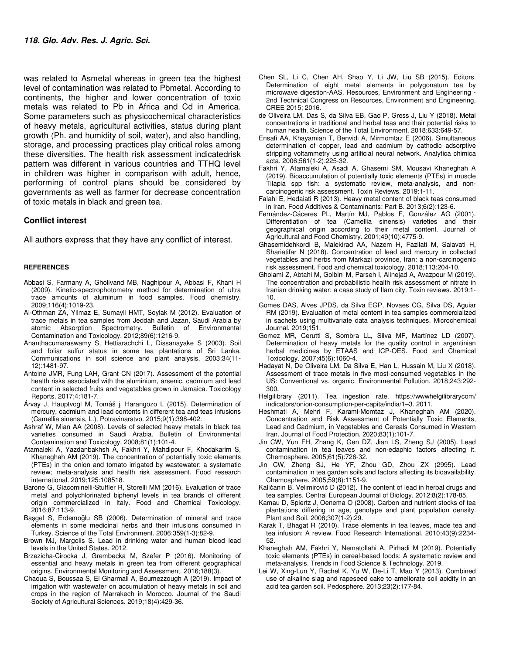was related to Asmetal whereas in green tea the highest level of contamination was related to Pbmetal. According to continents, the higher and lower concentration of toxic metals was related to Pb in Africa and Cd in America. Some parameters such as physicochemical characteristics of heavy metals, agricultural activities, status during plant growth (Ph. and humidity of soil, water), and also handling, storage, and processing practices play critical roles among these diversities. The health risk assessment indicatedrisk pattern was different in various countries and TTHQ level in children was higher in comparison with adult, hence, performing of control plans should be considered by governments as well as farmer for decrease concentration of toxic metals in black and green tea.

#### **Conflict interest**

All authors express that they have any conflict of interest.

#### **REFERENCES**

- Abbasi S, Farmany A, Gholivand MB, Naghipour A, Abbasi F, Khani H (2009). Kinetic-spectrophotometry method for determination of ultra trace amounts of aluminum in food samples. Food chemistry. 2009;116(4):1019-23.
- Al-Othman ZA, Yilmaz E, Sumayli HMT, Soylak M (2012). Evaluation of trace metals in tea samples from Jeddah and Jazan, Saudi Arabia by atomic Absorption Spectrometry. Bulletin of Environmental atomic Absorption Spectrometry. Bulletin of Environmental Contamination and Toxicology. 2012;89(6):1216-9.
- Ananthacumaraswamy S, Hettiarachchi L, Dissanayake S (2003). Soil and foliar sulfur status in some tea plantations of Sri Lanka. Communications in soil science and plant analysis. 2003;34(11- 12):1481-97.
- Antoine JMR, Fung LAH, Grant CN (2017). Assessment of the potential health risks associated with the aluminium, arsenic, cadmium and lead content in selected fruits and vegetables grown in Jamaica. Toxicology Reports. 2017;4:181-7.
- Árvay J, Hauptvogl M, Tomáš j, Harangozo L (2015). Determination of mercury, cadmium and lead contents in different tea and teas infusions (Camellia sinensis, L.). Potravinarstvo. 2015;9(1):398-402.
- Ashraf W, Mian AA (2008). Levels of selected heavy metals in black tea varieties consumed in Saudi Arabia. Bulletin of Environmental Contamination and Toxicology. 2008;81(1):101-4.
- Atamaleki A, Yazdanbakhsh A, Fakhri Y, Mahdipour F, Khodakarim S, Khaneghah AM (2019). The concentration of potentially toxic elements (PTEs) in the onion and tomato irrigated by wastewater: a systematic review; meta-analysis and health risk assessment. Food research international. 2019;125:108518.
- Barone G, Giacominelli-Stuffler R, Storelli MM (2016). Evaluation of trace metal and polychlorinated biphenyl levels in tea brands of different origin commercialized in Italy. Food and Chemical Toxicology. 2016;87:113-9.
- Başgel S, Erdemoǧlu SB (2006). Determination of mineral and trace elements in some medicinal herbs and their infusions consumed in Turkey. Science of the Total Environment. 2006;359(1-3):82-9.
- Brown MJ, Margolis S. Lead in drinking water and human blood lead levels in the United States. 2012.
- Brzezicha-Cirocka J, Grembecka M, Szefer P (2016). Monitoring of essential and heavy metals in green tea from different geographical origins. Environmental Monitoring and Assessment. 2016;188(3).
- Chaoua S, Boussaa S, El Gharmali A, Boumezzough A (2019). Impact of irrigation with wastewater on accumulation of heavy metals in soil and crops in the region of Marrakech in Morocco. Journal of the Saudi Society of Agricultural Sciences. 2019;18(4):429-36.
- Chen SL, Li C, Chen AH, Shao Y, Li JW, Liu SB (2015). Editors. Determination of eight metal elements in polygonatum tea by microwave digestion-AAS. Resources, Environment and Engineering - 2nd Technical Congress on Resources, Environment and Engineering, CREE 2015; 2016.
- de Oliveira LM, Das S, da Silva EB, Gao P, Gress J, Liu Y (2018). Metal concentrations in traditional and herbal teas and their potential risks to human health. Science of the Total Environment. 2018;633:649-57.
- Ensafi AA, Khayamian T, Benvidi A, Mirmomtaz E (2006). Simultaneous determination of copper, lead and cadmium by cathodic adsorptive stripping voltammetry using artificial neural network. Analytica chimica acta. 2006;561(1-2):225-32.
- Fakhri Y, Atamaleki A, Asadi A, Ghasemi SM, Mousavi Khaneghah A (2019). Bioaccumulation of potentially toxic elements (PTEs) in muscle Tilapia spp fish: a systematic review, meta-analysis, and noncarcinogenic risk assessment. Toxin Reviews. 2019:1-11.
- Falahi E, Hedaiati R (2013). Heavy metal content of black teas consumed in Iran. Food Additives & Contaminants: Part B. 2013;6(2):123-6.
- Fernández-Cáceres PL, Martín MJ, Pablos F, González AG (2001). Differentiation of tea (Camellia sinensis) varieties and their geographical origin according to their metal content. Journal of Agricultural and Food Chemistry. 2001;49(10):4775-9.
- Ghasemidehkordi B, Malekirad AA, Nazem H, Fazilati M, Salavati H, Shariatifar N (2018). Concentration of lead and mercury in collected vegetables and herbs from Markazi province, Iran: a non-carcinogenic risk assessment. Food and chemical toxicology. 2018;113:204-10.
- Gholami Z, Abtahi M, Golbini M, Parseh I, Alinejad A, Avazpour M (2019). The concentration and probabilistic health risk assessment of nitrate in Iranian drinking water: a case study of Ilam city. Toxin reviews. 2019:1- 10.
- Gomes DAS, Alves JPDS, da Silva EGP, Novaes CG, Silva DS, Aguiar RM (2019). Evaluation of metal content in tea samples commercialized in sachets using multivariate data analysis techniques. Microchemical Journal. 2019;151.
- Gomez MR, Cerutti S, Sombra LL, Silva MF, Martínez LD (2007). Determination of heavy metals for the quality control in argentinian herbal medicines by ETAAS and ICP-OES. Food and Chemical Toxicology. 2007;45(6):1060-4.
- Hadayat N, De Oliveira LM, Da Silva E, Han L, Hussain M, Liu X (2018). Assessment of trace metals in five most-consumed vegetables in the US: Conventional vs. organic. Environmental Pollution. 2018;243:292- 300.
- Helgilibrary (2011). Tea ingestion rate. https://wwwhelgilibrarycom/ indicators/onion-consumption-per-capita/india/1–3. 2011.
- Heshmati A, Mehri F, Karami-Momtaz J, Khaneghah AM (2020). Concentration and Risk Assessment of Potentially Toxic Elements, Lead and Cadmium, in Vegetables and Cereals Consumed in Western Iran. Journal of Food Protection. 2020;83(1):101-7.
- Jin CW, Yun FH, Zhang K, Gen DZ, Jian LS, Zheng SJ (2005). Lead contamination in tea leaves and non-edaphic factors affecting it. Chemosphere. 2005;61(5):726-32.
- Jin CW, Zheng SJ, He YF, Zhou GD, Zhou ZX (2995). Lead contamination in tea garden soils and factors affecting its bioavailability. Chemosphere. 2005;59(8):1151-9.
- Kaličanin B, Velimirović D (2012). The content of lead in herbal drugs and tea samples. Central European Journal of Biology. 2012;8(2):178-85.
- Kamau D, Spiertz J, Oenema O (2008). Carbon and nutrient stocks of tea plantations differing in age, genotype and plant population density. Plant and Soil. 2008;307(1-2):29.
- Karak T, Bhagat R (2010). Trace elements in tea leaves, made tea and tea infusion: A review. Food Research International. 2010;43(9):2234- 52.
- Khaneghah AM, Fakhri Y, Nematollahi A, Pirhadi M (2019). Potentially toxic elements (PTEs) in cereal-based foods: A systematic review and meta-analysis. Trends in Food Science & Technology. 2019.
- Lei W, Xing-Lun Y, Rachel K, Yu W, De-Li T, Mao Y (2013). Combined use of alkaline slag and rapeseed cake to ameliorate soil acidity in an acid tea garden soil. Pedosphere. 2013;23(2):177-84.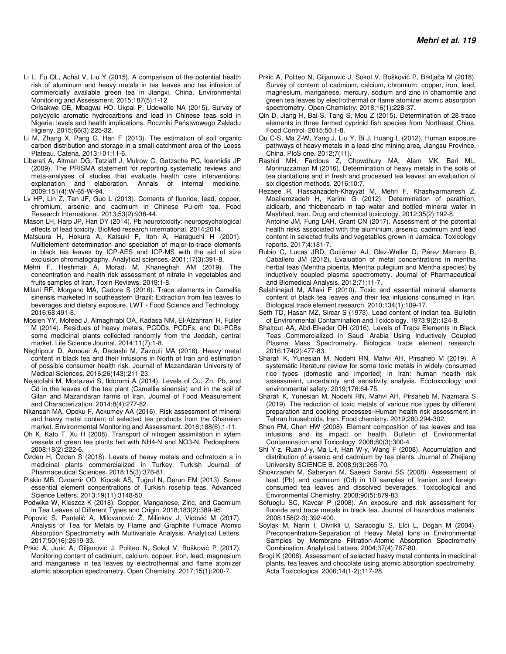Li L, Fu QL, Achal V, Liu Y (2015). A comparison of the potential health risk of aluminum and heavy metals in tea leaves and tea infusion of commercially available green tea in Jiangxi, China. Environmental Monitoring and Assessment. 2015;187(5):1-12. Orisakwe OE, Mbagwu HO, Ukpai P, Udowelle NA (2015). Survey of

polycyclic aromatic hydrocarbons and lead in Chinese teas sold in Nigeria: levels and health implications. Roczniki Państwowego Zakładu Higieny. 2015;66(3):225-32.

- Li M, Zhang X, Pang G, Han F (2013). The estimation of soil organic carbon distribution and storage in a small catchment area of the Loess Plateau. Catena. 2013;101:11-6.
- Liberati A, Altman DG, Tetzlaff J, Mulrow C, Gøtzsche PC, Ioannidis JP (2009). The PRISMA statement for reporting systematic reviews and meta-analyses of studies that evaluate health care interventions: explanation and elaboration. Annals of internal medicine. 2009;151(4):W-65-W-94.
- Lv HP, Lin Z, Tan JF, Guo L (2013). Contents of fluoride, lead, copper, chromium, arsenic and cadmium in Chinese Pu-erh tea. Food Research International. 2013;53(2):938-44.
- Mason LH, Harp JP, Han DY (2014). Pb neurotoxicity: neuropsychological effects of lead toxicity. BioMed research international. 2014;2014.
- Matsuura H, Hokura A, Katsuki F, Itoh A, Haraguchi H (2001). Multielement determination and speciation of major-to-trace elements in black tea leaves by ICP-AES and ICP-MS with the aid of size exclusion chromatography. Analytical sciences. 2001;17(3):391-8.
- Mehri F, Heshmati A, Moradi M, Khaneghah AM (2019). The concentration and health risk assessment of nitrate in vegetables and fruits samples of Iran. Toxin Reviews. 2019:1-8.
- Milani RF, Morgano MA, Cadore S (2016). Trace elements in Camellia sinensis marketed in southeastern Brazil: Extraction from tea leaves to beverages and dietary exposure. LWT - Food Science and Technology. 2016;68:491-8.
- Mosleh YY, Mofeed J, Almaghrabi OA, Kadasa NM, El-Alzahrani H, Fuller M (2014). Residues of heavy metals, PCDDs, PCDFs, and DL-PCBs some medicinal plants collected randomly from the Jeddah, central market. Life Science Journal. 2014;11(7):1-8.
- Naghipour D, Amouei A, Dadashi M, Zazouli MA (2016). Heavy metal content in black tea and their infusions in North of Iran and estimation of possible consumer health risk. Journal of Mazandaran University of Medical Sciences. 2016;26(143):211-23.
- Nejatolahi M, Mortazavi S, Ildoromi A (2014). Levels of Cu, Zn, Pb, and Cd in the leaves of the tea plant (Camellia sinensis) and in the soil of Gilan and Mazandaran farms of Iran. Journal of Food Measurement and Characterization. 2014;8(4):277-82.
- Nkansah MA, Opoku F, Ackumey AA (2016). Risk assessment of mineral and heavy metal content of selected tea products from the Ghanaian market. Environmental Monitoring and Assessment. 2016;188(6):1-11.
- Oh K, Kato T, Xu H (2008). Transport of nitrogen assimilation in xylem vessels of green tea plants fed with NH4-N and NO3-N. Pedosphere. 2008;18(2):222-6.
- Özden H, Özden S (2018). Levels of heavy metals and ochratoxin a in medicinal plants commercialized in Turkey. Turkish Journal of Pharmaceutical Sciences. 2018;15(3):376-81.
- Piskin MB, Ozdemir OD, Kipcak AS, Tuǧrul N, Derun EM (2013). Some essential element concentrations of Turkish rosehip teas. Advanced Science Letters. 2013;19(11):3148-50.
- Podwika W, Kleszcz K (2018). Copper, Manganese, Zinc, and Cadmium in Tea Leaves of Different Types and Origin. 2018;183(2):389-95.
- Popović S, Pantelić A, Milovanović Ž, Milinkov J, Vidović M (2017). Analysis of Tea for Metals by Flame and Graphite Furnace Atomic Absorption Spectrometry with Multivariate Analysis. Analytical Letters. 2017;50(16):2619-33.
- Prkić A, Jurić A, Giljanović J, Politeo N, Sokol V, Bošković P (2017). Monitoring content of cadmium, calcium, copper, iron, lead, magnesium and manganese in tea leaves by electrothermal and flame atomizer atomic absorption spectrometry. Open Chemistry. 2017;15(1):200-7.
- Prkić A, Politeo N, Giljanović J, Sokol V, Bošković P, Brkljača M (2018). Survey of content of cadmium, calcium, chromium, copper, iron, lead, magnesium, manganese, mercury, sodium and zinc in chamomile and green tea leaves by electrothermal or flame atomizer atomic absorption spectrometry. Open Chemistry. 2018;16(1):228-37.
- Qin D, Jiang H, Bai S, Tang S, Mou Z (2015). Determination of 28 trace elements in three farmed cyprinid fish species from Northeast China. Food Control. 2015;50:1-8.
- Qu C-S, Ma Z-W, Yang J, Liu Y, Bi J, Huang L (2012). Human exposure pathways of heavy metals in a lead-zinc mining area, Jiangsu Province, China. PloS one. 2012;7(11).
- Rashid MH, Fardous Z, Chowdhury MA, Alam MK, Bari ML, Moniruzzaman M (2016). Determination of heavy metals in the soils of tea plantations and in fresh and processed tea leaves: an evaluation of six digestion methods. 2016;10:7.
- Rezaee R, Hassanzadeh-Khayyat M, Mehri F, Khashyarmanesh Z, Moallemzadeh H, Karimi G (2012). Determination of parathion, aldicarb, and thiobencarb in tap water and bottled mineral water in Mashhad, Iran. Drug and chemical toxicology. 2012;35(2):192-8.
- Antoine JM, Fung LAH, Grant CN (2017). Assessment of the potential health risks associated with the aluminium, arsenic, cadmium and lead content in selected fruits and vegetables grown in Jamaica. Toxicology reports. 2017;4:181-7.
- Rubio C, Lucas JRD, Gutiérrez AJ, Glez-Weller D, Pérez Marrero B, Caballero JM (2012). Evaluation of metal concentrations in mentha herbal teas (Mentha piperita, Mentha pulegium and Mentha species) by inductively coupled plasma spectrometry. Journal of Pharmaceutical and Biomedical Analysis. 2012;71:11-7.
- Salahinejad M, Aflaki F (2010). Toxic and essential mineral elements content of black tea leaves and their tea infusions consumed in Iran. Biological trace element research. 2010;134(1):109-17.
- Seth TD, Hasan MZ, Sircar S (1973). Lead content of indian tea. Bulletin of Environmental Contamination and Toxicology. 1973;9(2):124-8.
- Shaltout AA, Abd-Elkader OH (2016). Levels of Trace Elements in Black Teas Commercialized in Saudi Arabia Using Inductively Coupled Plasma Mass Spectrometry. Biological trace element research. 2016;174(2):477-83.
- Sharafi K, Yunesian M, Nodehi RN, Mahvi AH, Pirsaheb M (2019). A systematic literature review for some toxic metals in widely consumed rice types (domestic and imported) in Iran: human health risk assessment, uncertainty and sensitivity analysis. Ecotoxicology and environmental safety. 2019;176:64-75.
- Sharafi K, Yunesian M, Nodehi RN, Mahvi AH, Pirsaheb M, Nazmara S (2019). The reduction of toxic metals of various rice types by different preparation and cooking processes–Human health risk assessment in Tehran households, Iran. Food chemistry. 2019;280:294-302.
- Shen FM, Chen HW (2008). Element composition of tea leaves and tea infusions and its impact on health. Bulletin of Environmental Contamination and Toxicology. 2008;80(3):300-4.
- Shi Y-z, Ruan J-y, Ma L-f, Han W-y, Wang F (2008). Accumulation and distribution of arsenic and cadmium by tea plants. Journal of Zhejiang University SCIENCE B. 2008;9(3):265-70.
- Shokrzadeh M, Saberyan M, Saeedi Saravi SS (2008). Assessment of lead (Pb) and cadmium (Cd) in 10 samples of Iranian and foreign consumed tea leaves and dissolved beverages. Toxicological and Environmental Chemistry. 2008;90(5):879-83.
- Sofuoglu SC, Kavcar P (2008). An exposure and risk assessment for fluoride and trace metals in black tea. Journal of hazardous materials. 2008;158(2-3):392-400.
- Soylak M, Narin I, Divrikli U, Saracoglu S, Elci L, Dogan M (2004). Preconcentration-Separation of Heavy Metal Ions in Environmental Samples by Membrane Filtration-Atomic Absorption Spectrometry Combination. Analytical Letters. 2004;37(4):767-80.
- Srogi K (2006). Assessment of selected heavy metal contents in medicinal plants, tea leaves and chocolate using atomic absorption spectrometry. Acta Toxicologica. 2006;14(1-2):117-28.